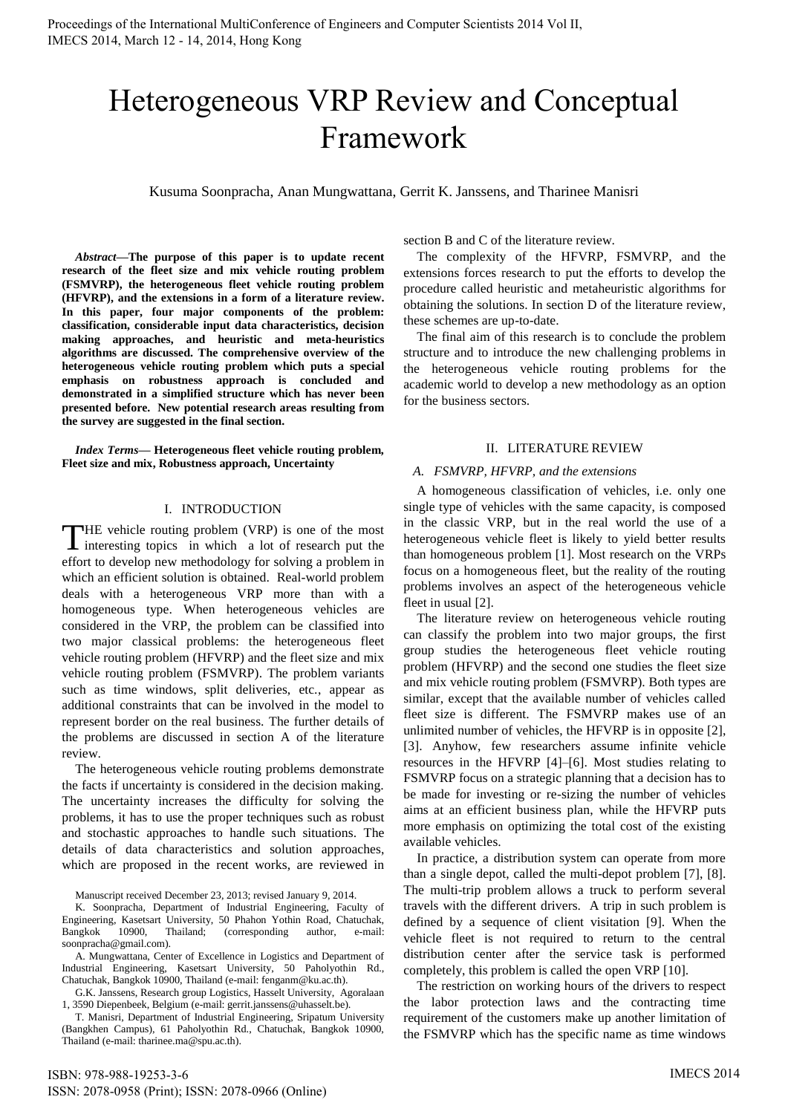# Heterogeneous VRP Review and Conceptual Framework

Kusuma Soonpracha, Anan Mungwattana, Gerrit K. Janssens, and Tharinee Manisri

*Abstract***—The purpose of this paper is to update recent research of the fleet size and mix vehicle routing problem (FSMVRP), the heterogeneous fleet vehicle routing problem (HFVRP), and the extensions in a form of a literature review. In this paper, four major components of the problem: classification, considerable input data characteristics, decision making approaches, and heuristic and meta-heuristics algorithms are discussed. The comprehensive overview of the heterogeneous vehicle routing problem which puts a special emphasis on robustness approach is concluded and demonstrated in a simplified structure which has never been presented before. New potential research areas resulting from the survey are suggested in the final section.** 

*Index Terms***— Heterogeneous fleet vehicle routing problem, Fleet size and mix, Robustness approach, Uncertainty** 

## I. INTRODUCTION

**THE** vehicle routing problem (VRP) is one of the most THE vehicle routing problem (VRP) is one of the most<br>interesting topics in which a lot of research put the effort to develop new methodology for solving a problem in which an efficient solution is obtained. Real-world problem deals with a heterogeneous VRP more than with a homogeneous type. When heterogeneous vehicles are considered in the VRP, the problem can be classified into two major classical problems: the heterogeneous fleet vehicle routing problem (HFVRP) and the fleet size and mix vehicle routing problem (FSMVRP). The problem variants such as time windows, split deliveries, etc., appear as additional constraints that can be involved in the model to represent border on the real business. The further details of the problems are discussed in section A of the literature review.

The heterogeneous vehicle routing problems demonstrate the facts if uncertainty is considered in the decision making. The uncertainty increases the difficulty for solving the problems, it has to use the proper techniques such as robust and stochastic approaches to handle such situations. The details of data characteristics and solution approaches, which are proposed in the recent works, are reviewed in

Manuscript received December 23, 2013; revised January 9, 2014.

K. Soonpracha, Department of Industrial Engineering, Faculty of Engineering, Kasetsart University, 50 Phahon Yothin Road, Chatuchak, 10900, Thailand; (corresponding author, e-mail: soonpracha@gmail.com).

A. Mungwattana, Center of Excellence in Logistics and Department of Industrial Engineering, Kasetsart University, 50 Paholyothin Rd., Chatuchak, Bangkok 10900, Thailand (e-mail: fenganm@ku.ac.th).

G.K. Janssens, Research group Logistics, Hasselt University, Agoralaan 1, 3590 Diepenbeek, Belgium (e-mail: gerrit.janssens@uhasselt.be).

T. Manisri, Department of Industrial Engineering, Sripatum University (Bangkhen Campus), 61 Paholyothin Rd., Chatuchak, Bangkok 10900,

Thailand (e-mail: tharinee.ma@spu.ac.th).

section B and C of the literature review.

The complexity of the HFVRP, FSMVRP, and the extensions forces research to put the efforts to develop the procedure called heuristic and metaheuristic algorithms for obtaining the solutions. In section D of the literature review, these schemes are up-to-date.

The final aim of this research is to conclude the problem structure and to introduce the new challenging problems in the heterogeneous vehicle routing problems for the academic world to develop a new methodology as an option for the business sectors.

### II. LITERATURE REVIEW

## *A. FSMVRP, HFVRP, and the extensions*

A homogeneous classification of vehicles, i.e. only one single type of vehicles with the same capacity, is composed in the classic VRP, but in the real world the use of a heterogeneous vehicle fleet is likely to yield better results than homogeneous problem [1]. Most research on the VRPs focus on a homogeneous fleet, but the reality of the routing problems involves an aspect of the heterogeneous vehicle fleet in usual [2].

The literature review on heterogeneous vehicle routing can classify the problem into two major groups, the first group studies the heterogeneous fleet vehicle routing problem (HFVRP) and the second one studies the fleet size and mix vehicle routing problem (FSMVRP). Both types are similar, except that the available number of vehicles called fleet size is different. The FSMVRP makes use of an unlimited number of vehicles, the HFVRP is in opposite [2], [3]. Anyhow, few researchers assume infinite vehicle resources in the HFVRP [4]–[6]. Most studies relating to FSMVRP focus on a strategic planning that a decision has to be made for investing or re-sizing the number of vehicles aims at an efficient business plan, while the HFVRP puts more emphasis on optimizing the total cost of the existing available vehicles.

In practice, a distribution system can operate from more than a single depot, called the multi-depot problem [7], [8]. The multi-trip problem allows a truck to perform several travels with the different drivers. A trip in such problem is defined by a sequence of client visitation [9]. When the vehicle fleet is not required to return to the central distribution center after the service task is performed completely, this problem is called the open VRP [10].

The restriction on working hours of the drivers to respect the labor protection laws and the contracting time requirement of the customers make up another limitation of the FSMVRP which has the specific name as time windows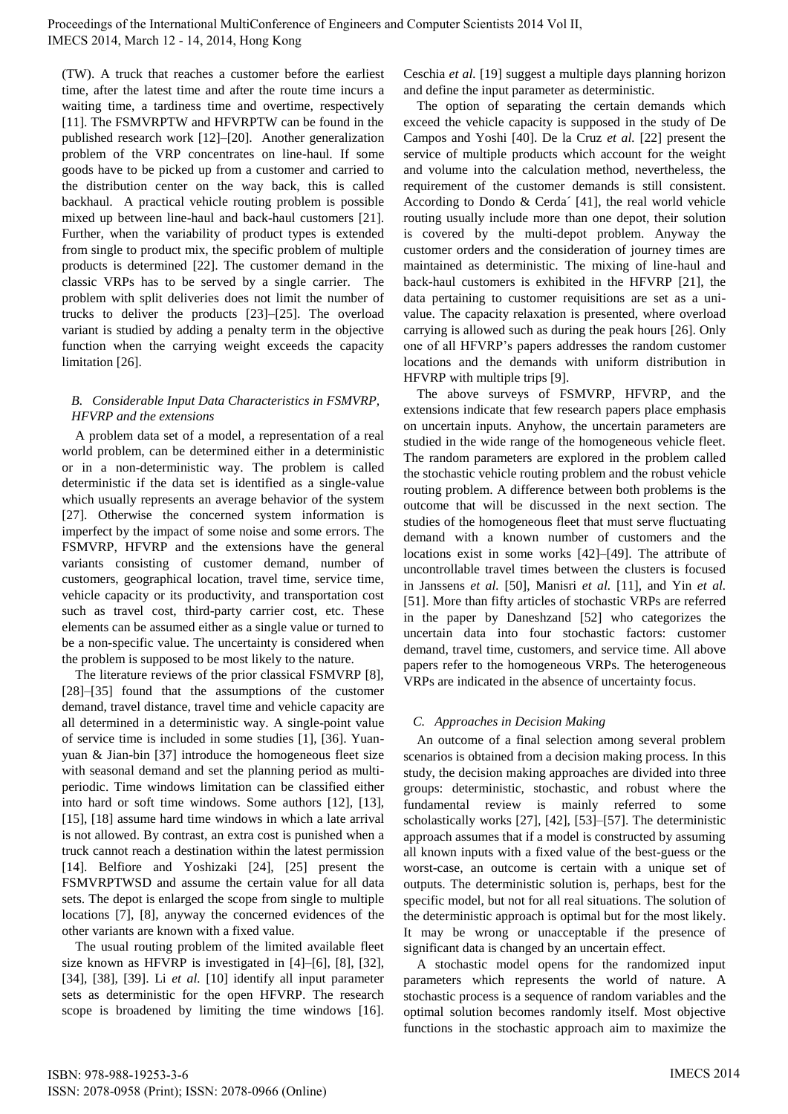(TW). A truck that reaches a customer before the earliest time, after the latest time and after the route time incurs a waiting time, a tardiness time and overtime, respectively [11]. The FSMVRPTW and HFVRPTW can be found in the published research work [12]–[20]. Another generalization problem of the VRP concentrates on line-haul. If some goods have to be picked up from a customer and carried to the distribution center on the way back, this is called backhaul. A practical vehicle routing problem is possible mixed up between line-haul and back-haul customers [21]. Further, when the variability of product types is extended from single to product mix, the specific problem of multiple products is determined [22]. The customer demand in the classic VRPs has to be served by a single carrier. The problem with split deliveries does not limit the number of trucks to deliver the products [23]–[25]. The overload variant is studied by adding a penalty term in the objective function when the carrying weight exceeds the capacity limitation [26].

## *B. Considerable Input Data Characteristics in FSMVRP, HFVRP and the extensions*

A problem data set of a model, a representation of a real world problem, can be determined either in a deterministic or in a non-deterministic way. The problem is called deterministic if the data set is identified as a single-value which usually represents an average behavior of the system [27]. Otherwise the concerned system information is imperfect by the impact of some noise and some errors. The FSMVRP, HFVRP and the extensions have the general variants consisting of customer demand, number of customers, geographical location, travel time, service time, vehicle capacity or its productivity, and transportation cost such as travel cost, third-party carrier cost, etc. These elements can be assumed either as a single value or turned to be a non-specific value. The uncertainty is considered when the problem is supposed to be most likely to the nature.

The literature reviews of the prior classical FSMVRP [8], [28]–[35] found that the assumptions of the customer demand, travel distance, travel time and vehicle capacity are all determined in a deterministic way. A single-point value of service time is included in some studies [1], [36]. Yuanyuan & Jian-bin [37] introduce the homogeneous fleet size with seasonal demand and set the planning period as multiperiodic. Time windows limitation can be classified either into hard or soft time windows. Some authors [12], [13], [15], [18] assume hard time windows in which a late arrival is not allowed. By contrast, an extra cost is punished when a truck cannot reach a destination within the latest permission [14]. Belfiore and Yoshizaki [24], [25] present the FSMVRPTWSD and assume the certain value for all data sets. The depot is enlarged the scope from single to multiple locations [7], [8], anyway the concerned evidences of the other variants are known with a fixed value.

The usual routing problem of the limited available fleet size known as HFVRP is investigated in [4]–[6], [8], [32], [34], [38], [39]. Li *et al.* [10] identify all input parameter sets as deterministic for the open HFVRP. The research scope is broadened by limiting the time windows [16]. Ceschia *et al.* [19] suggest a multiple days planning horizon and define the input parameter as deterministic.

The option of separating the certain demands which exceed the vehicle capacity is supposed in the study of De Campos and Yoshi [40]. De la Cruz *et al.* [22] present the service of multiple products which account for the weight and volume into the calculation method, nevertheless, the requirement of the customer demands is still consistent. According to Dondo & Cerda´ [41], the real world vehicle routing usually include more than one depot, their solution is covered by the multi-depot problem. Anyway the customer orders and the consideration of journey times are maintained as deterministic. The mixing of line-haul and back-haul customers is exhibited in the HFVRP [21], the data pertaining to customer requisitions are set as a univalue. The capacity relaxation is presented, where overload carrying is allowed such as during the peak hours [26]. Only one of all HFVRP's papers addresses the random customer locations and the demands with uniform distribution in HFVRP with multiple trips [9].

The above surveys of FSMVRP, HFVRP, and the extensions indicate that few research papers place emphasis on uncertain inputs. Anyhow, the uncertain parameters are studied in the wide range of the homogeneous vehicle fleet. The random parameters are explored in the problem called the stochastic vehicle routing problem and the robust vehicle routing problem. A difference between both problems is the outcome that will be discussed in the next section. The studies of the homogeneous fleet that must serve fluctuating demand with a known number of customers and the locations exist in some works [42]–[49]. The attribute of uncontrollable travel times between the clusters is focused in Janssens *et al.* [50], Manisri *et al.* [11], and Yin *et al.* [51]. More than fifty articles of stochastic VRPs are referred in the paper by Daneshzand [52] who categorizes the uncertain data into four stochastic factors: customer demand, travel time, customers, and service time. All above papers refer to the homogeneous VRPs. The heterogeneous VRPs are indicated in the absence of uncertainty focus.

# *C. Approaches in Decision Making*

An outcome of a final selection among several problem scenarios is obtained from a decision making process. In this study, the decision making approaches are divided into three groups: deterministic, stochastic, and robust where the fundamental review is mainly referred to some scholastically works [27], [42], [53]–[57]. The deterministic approach assumes that if a model is constructed by assuming all known inputs with a fixed value of the best-guess or the worst-case, an outcome is certain with a unique set of outputs. The deterministic solution is, perhaps, best for the specific model, but not for all real situations. The solution of the deterministic approach is optimal but for the most likely. It may be wrong or unacceptable if the presence of significant data is changed by an uncertain effect.

A stochastic model opens for the randomized input parameters which represents the world of nature. A stochastic process is a sequence of random variables and the optimal solution becomes randomly itself. Most objective functions in the stochastic approach aim to maximize the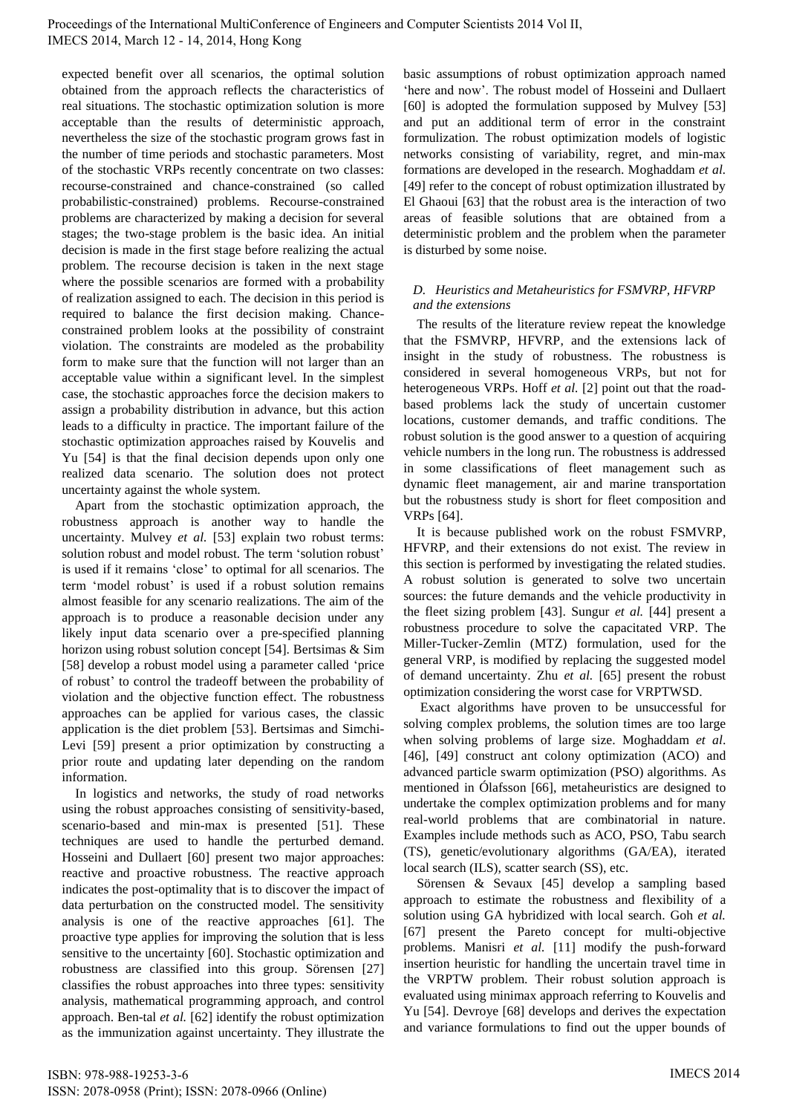expected benefit over all scenarios, the optimal solution obtained from the approach reflects the characteristics of real situations. The stochastic optimization solution is more acceptable than the results of deterministic approach, nevertheless the size of the stochastic program grows fast in the number of time periods and stochastic parameters. Most of the stochastic VRPs recently concentrate on two classes: recourse-constrained and chance-constrained (so called probabilistic-constrained) problems. Recourse-constrained problems are characterized by making a decision for several stages; the two-stage problem is the basic idea. An initial decision is made in the first stage before realizing the actual problem. The recourse decision is taken in the next stage where the possible scenarios are formed with a probability of realization assigned to each. The decision in this period is required to balance the first decision making. Chanceconstrained problem looks at the possibility of constraint violation. The constraints are modeled as the probability form to make sure that the function will not larger than an acceptable value within a significant level. In the simplest case, the stochastic approaches force the decision makers to assign a probability distribution in advance, but this action leads to a difficulty in practice. The important failure of the stochastic optimization approaches raised by Kouvelis and Yu [54] is that the final decision depends upon only one realized data scenario. The solution does not protect uncertainty against the whole system.

Apart from the stochastic optimization approach, the robustness approach is another way to handle the uncertainty. Mulvey *et al.* [53] explain two robust terms: solution robust and model robust. The term 'solution robust' is used if it remains 'close' to optimal for all scenarios. The term 'model robust' is used if a robust solution remains almost feasible for any scenario realizations. The aim of the approach is to produce a reasonable decision under any likely input data scenario over a pre-specified planning horizon using robust solution concept [54]. Bertsimas & Sim [58] develop a robust model using a parameter called 'price of robust' to control the tradeoff between the probability of violation and the objective function effect. The robustness approaches can be applied for various cases, the classic application is the diet problem [53]. Bertsimas and Simchi-Levi [59] present a prior optimization by constructing a prior route and updating later depending on the random information.

In logistics and networks, the study of road networks using the robust approaches consisting of sensitivity-based, scenario-based and min-max is presented [51]. These techniques are used to handle the perturbed demand. Hosseini and Dullaert [60] present two major approaches: reactive and proactive robustness. The reactive approach indicates the post-optimality that is to discover the impact of data perturbation on the constructed model. The sensitivity analysis is one of the reactive approaches [61]. The proactive type applies for improving the solution that is less sensitive to the uncertainty [60]. Stochastic optimization and robustness are classified into this group. Sörensen [27] classifies the robust approaches into three types: sensitivity analysis, mathematical programming approach, and control approach. Ben-tal *et al.* [62] identify the robust optimization

ISSN: 2078-0958 (Print); ISSN: 2078-0966 (Online)

basic assumptions of robust optimization approach named 'here and now'. The robust model of Hosseini and Dullaert [60] is adopted the formulation supposed by Mulvey [53] and put an additional term of error in the constraint formulization. The robust optimization models of logistic networks consisting of variability, regret, and min-max formations are developed in the research. Moghaddam *et al.* [49] refer to the concept of robust optimization illustrated by El Ghaoui [63] that the robust area is the interaction of two areas of feasible solutions that are obtained from a deterministic problem and the problem when the parameter is disturbed by some noise.

## *D. Heuristics and Metaheuristics for FSMVRP, HFVRP and the extensions*

The results of the literature review repeat the knowledge that the FSMVRP, HFVRP, and the extensions lack of insight in the study of robustness. The robustness is considered in several homogeneous VRPs, but not for heterogeneous VRPs. Hoff *et al.* [2] point out that the roadbased problems lack the study of uncertain customer locations, customer demands, and traffic conditions. The robust solution is the good answer to a question of acquiring vehicle numbers in the long run. The robustness is addressed in some classifications of fleet management such as dynamic fleet management, air and marine transportation but the robustness study is short for fleet composition and VRPs [64].

It is because published work on the robust FSMVRP, HFVRP, and their extensions do not exist. The review in this section is performed by investigating the related studies. A robust solution is generated to solve two uncertain sources: the future demands and the vehicle productivity in the fleet sizing problem [43]. Sungur *et al.* [44] present a robustness procedure to solve the capacitated VRP. The Miller-Tucker-Zemlin (MTZ) formulation, used for the general VRP, is modified by replacing the suggested model of demand uncertainty. Zhu *et al.* [65] present the robust optimization considering the worst case for VRPTWSD.

 Exact algorithms have proven to be unsuccessful for solving complex problems, the solution times are too large when solving problems of large size. Moghaddam *et al*. [46], [49] construct ant colony optimization (ACO) and advanced particle swarm optimization (PSO) algorithms. As mentioned in Ólafsson [66], metaheuristics are designed to undertake the complex optimization problems and for many real-world problems that are combinatorial in nature. Examples include methods such as ACO, PSO, Tabu search (TS), genetic/evolutionary algorithms (GA/EA), iterated local search (ILS), scatter search (SS), etc.

Sörensen & Sevaux [45] develop a sampling based approach to estimate the robustness and flexibility of a solution using GA hybridized with local search. Goh *et al.* [67] present the Pareto concept for multi-objective problems. Manisri *et al.* [11] modify the push-forward insertion heuristic for handling the uncertain travel time in the VRPTW problem. Their robust solution approach is evaluated using minimax approach referring to Kouvelis and Yu [54]. Devroye [68] develops and derives the expectation and variance formulations to find out the upper bounds of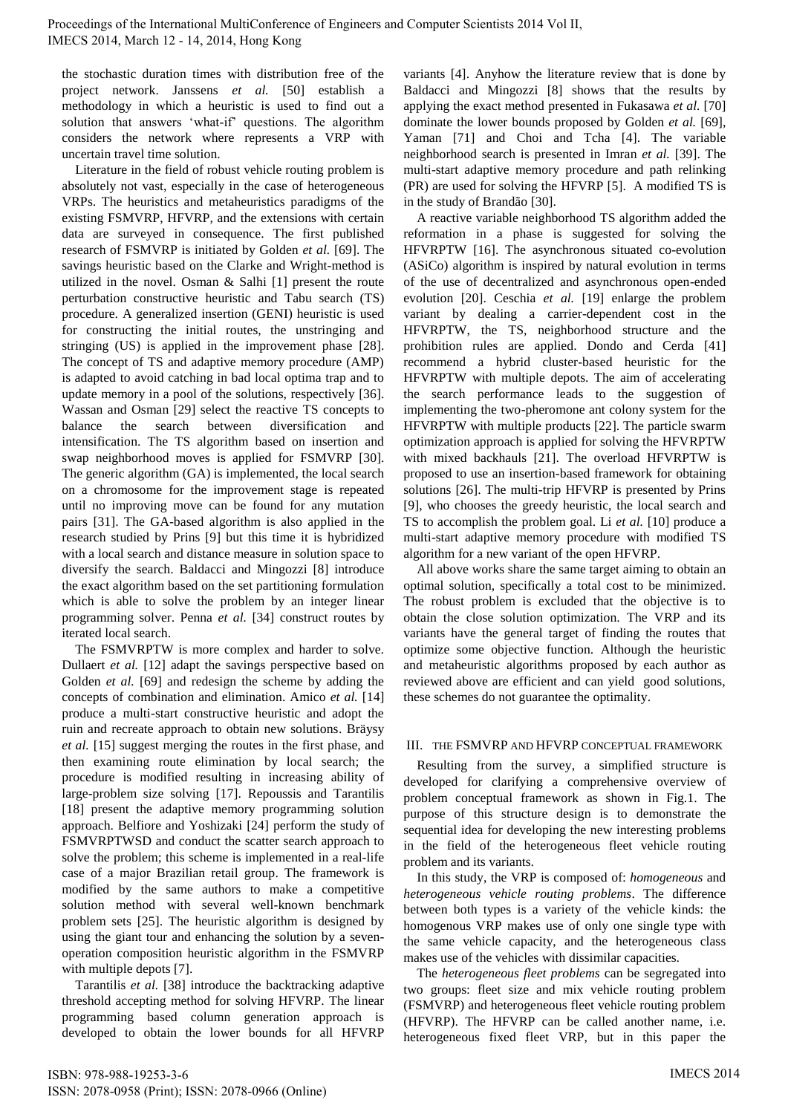the stochastic duration times with distribution free of the project network. Janssens *et al.* [50] establish a methodology in which a heuristic is used to find out a solution that answers 'what-if' questions. The algorithm considers the network where represents a VRP with uncertain travel time solution.

Literature in the field of robust vehicle routing problem is absolutely not vast, especially in the case of heterogeneous VRPs. The heuristics and metaheuristics paradigms of the existing FSMVRP, HFVRP, and the extensions with certain data are surveyed in consequence. The first published research of FSMVRP is initiated by Golden *et al.* [69]. The savings heuristic based on the Clarke and Wright-method is utilized in the novel. Osman & Salhi [1] present the route perturbation constructive heuristic and Tabu search (TS) procedure. A generalized insertion (GENI) heuristic is used for constructing the initial routes, the unstringing and stringing (US) is applied in the improvement phase [28]. The concept of TS and adaptive memory procedure (AMP) is adapted to avoid catching in bad local optima trap and to update memory in a pool of the solutions, respectively [36]. Wassan and Osman [29] select the reactive TS concepts to balance the search between diversification and intensification. The TS algorithm based on insertion and swap neighborhood moves is applied for FSMVRP [30]. The generic algorithm (GA) is implemented, the local search on a chromosome for the improvement stage is repeated until no improving move can be found for any mutation pairs [31]. The GA-based algorithm is also applied in the research studied by Prins [9] but this time it is hybridized with a local search and distance measure in solution space to diversify the search. Baldacci and Mingozzi [8] introduce the exact algorithm based on the set partitioning formulation which is able to solve the problem by an integer linear programming solver. Penna *et al.* [34] construct routes by iterated local search.

The FSMVRPTW is more complex and harder to solve. Dullaert *et al.* [12] adapt the savings perspective based on Golden *et al.* [69] and redesign the scheme by adding the concepts of combination and elimination. Amico *et al.* [14] produce a multi-start constructive heuristic and adopt the ruin and recreate approach to obtain new solutions. Bräysy *et al.* [15] suggest merging the routes in the first phase, and then examining route elimination by local search; the procedure is modified resulting in increasing ability of large-problem size solving [17]. Repoussis and Tarantilis [18] present the adaptive memory programming solution approach. Belfiore and Yoshizaki [24] perform the study of FSMVRPTWSD and conduct the scatter search approach to solve the problem; this scheme is implemented in a real-life case of a major Brazilian retail group. The framework is modified by the same authors to make a competitive solution method with several well-known benchmark problem sets [25]. The heuristic algorithm is designed by using the giant tour and enhancing the solution by a sevenoperation composition heuristic algorithm in the FSMVRP with multiple depots [7].

Tarantilis *et al.* [38] introduce the backtracking adaptive threshold accepting method for solving HFVRP. The linear programming based column generation approach is developed to obtain the lower bounds for all HFVRP

variants [4]. Anyhow the literature review that is done by Baldacci and Mingozzi [8] shows that the results by applying the exact method presented in Fukasawa *et al.* [70] dominate the lower bounds proposed by Golden *et al.* [69], Yaman [71] and Choi and Tcha [4]. The variable neighborhood search is presented in Imran *et al.* [39]. The multi-start adaptive memory procedure and path relinking (PR) are used for solving the HFVRP [5]. A modified TS is in the study of Brandão [30].

A reactive variable neighborhood TS algorithm added the reformation in a phase is suggested for solving the HFVRPTW [16]. The asynchronous situated co-evolution (ASiCo) algorithm is inspired by natural evolution in terms of the use of decentralized and asynchronous open-ended evolution [20]. Ceschia *et al.* [19] enlarge the problem variant by dealing a carrier-dependent cost in the HFVRPTW, the TS, neighborhood structure and the prohibition rules are applied. Dondo and Cerda [41] recommend a hybrid cluster-based heuristic for the HFVRPTW with multiple depots. The aim of accelerating the search performance leads to the suggestion of implementing the two-pheromone ant colony system for the HFVRPTW with multiple products [22]. The particle swarm optimization approach is applied for solving the HFVRPTW with mixed backhauls [21]. The overload HFVRPTW is proposed to use an insertion-based framework for obtaining solutions [26]. The multi-trip HFVRP is presented by Prins [9], who chooses the greedy heuristic, the local search and TS to accomplish the problem goal. Li *et al.* [10] produce a multi-start adaptive memory procedure with modified TS algorithm for a new variant of the open HFVRP.

All above works share the same target aiming to obtain an optimal solution, specifically a total cost to be minimized. The robust problem is excluded that the objective is to obtain the close solution optimization. The VRP and its variants have the general target of finding the routes that optimize some objective function. Although the heuristic and metaheuristic algorithms proposed by each author as reviewed above are efficient and can yield good solutions, these schemes do not guarantee the optimality.

## III. THE FSMVRP AND HFVRP CONCEPTUAL FRAMEWORK

Resulting from the survey, a simplified structure is developed for clarifying a comprehensive overview of problem conceptual framework as shown in Fig.1. The purpose of this structure design is to demonstrate the sequential idea for developing the new interesting problems in the field of the heterogeneous fleet vehicle routing problem and its variants.

In this study, the VRP is composed of: *homogeneous* and *heterogeneous vehicle routing problems*. The difference between both types is a variety of the vehicle kinds: the homogenous VRP makes use of only one single type with the same vehicle capacity, and the heterogeneous class makes use of the vehicles with dissimilar capacities.

The *heterogeneous fleet problems* can be segregated into two groups: fleet size and mix vehicle routing problem (FSMVRP) and heterogeneous fleet vehicle routing problem (HFVRP). The HFVRP can be called another name, i.e. heterogeneous fixed fleet VRP, but in this paper the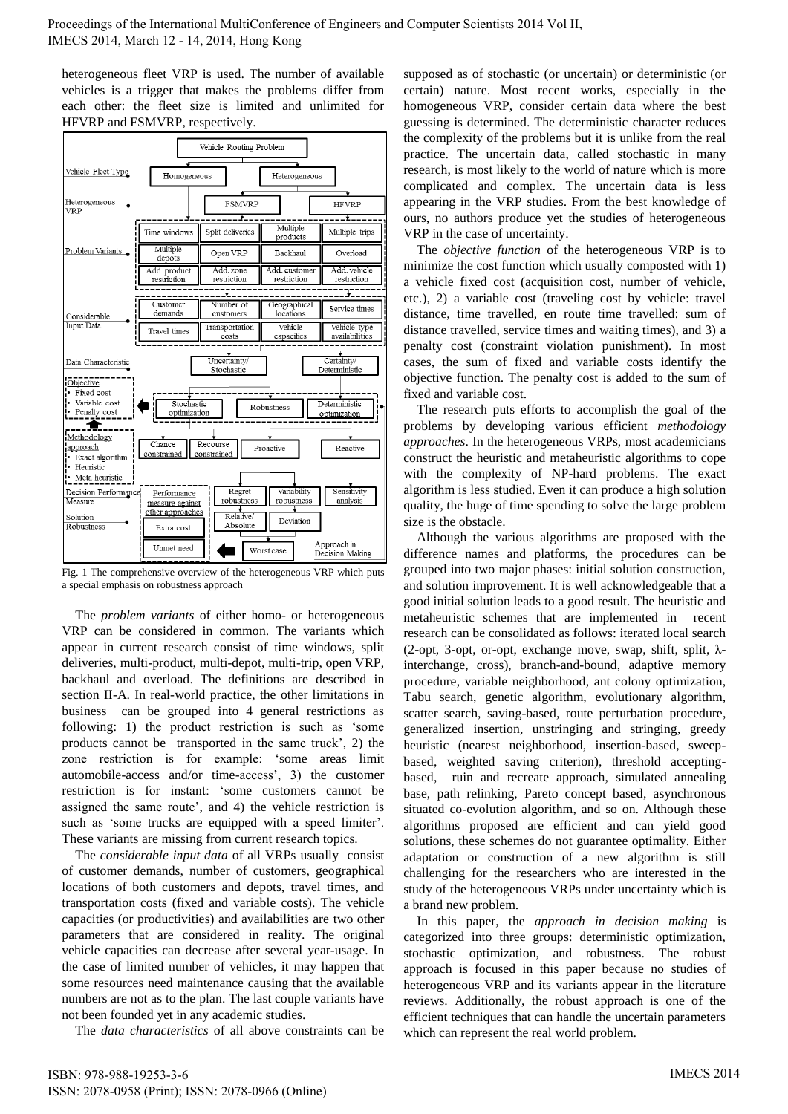heterogeneous fleet VRP is used. The number of available vehicles is a trigger that makes the problems differ from each other: the fleet size is limited and unlimited for HFVRP and FSMVRP, respectively.



Fig. 1 The comprehensive overview of the heterogeneous VRP which puts a special emphasis on robustness approach

The *problem variants* of either homo- or heterogeneous VRP can be considered in common. The variants which appear in current research consist of time windows, split deliveries, multi-product, multi-depot, multi-trip, open VRP, backhaul and overload. The definitions are described in section II-A. In real-world practice, the other limitations in business can be grouped into 4 general restrictions as following: 1) the product restriction is such as 'some products cannot be transported in the same truck', 2) the zone restriction is for example: 'some areas limit automobile-access and/or time-access', 3) the customer restriction is for instant: 'some customers cannot be assigned the same route', and 4) the vehicle restriction is such as 'some trucks are equipped with a speed limiter'. These variants are missing from current research topics.

The *considerable input data* of all VRPs usually consist of customer demands, number of customers, geographical locations of both customers and depots, travel times, and transportation costs (fixed and variable costs). The vehicle capacities (or productivities) and availabilities are two other parameters that are considered in reality. The original vehicle capacities can decrease after several year-usage. In the case of limited number of vehicles, it may happen that some resources need maintenance causing that the available numbers are not as to the plan. The last couple variants have not been founded yet in any academic studies.

The *data characteristics* of all above constraints can be

supposed as of stochastic (or uncertain) or deterministic (or certain) nature. Most recent works, especially in the homogeneous VRP, consider certain data where the best guessing is determined. The deterministic character reduces the complexity of the problems but it is unlike from the real practice. The uncertain data, called stochastic in many research, is most likely to the world of nature which is more complicated and complex. The uncertain data is less appearing in the VRP studies. From the best knowledge of ours, no authors produce yet the studies of heterogeneous VRP in the case of uncertainty.

The *objective function* of the heterogeneous VRP is to minimize the cost function which usually composted with 1) a vehicle fixed cost (acquisition cost, number of vehicle, etc.), 2) a variable cost (traveling cost by vehicle: travel distance, time travelled, en route time travelled: sum of distance travelled, service times and waiting times), and 3) a penalty cost (constraint violation punishment). In most cases, the sum of fixed and variable costs identify the objective function. The penalty cost is added to the sum of fixed and variable cost.

The research puts efforts to accomplish the goal of the problems by developing various efficient *methodology approaches*. In the heterogeneous VRPs, most academicians construct the heuristic and metaheuristic algorithms to cope with the complexity of NP-hard problems. The exact algorithm is less studied. Even it can produce a high solution quality, the huge of time spending to solve the large problem size is the obstacle.

Although the various algorithms are proposed with the difference names and platforms, the procedures can be grouped into two major phases: initial solution construction, and solution improvement. It is well acknowledgeable that a good initial solution leads to a good result. The heuristic and metaheuristic schemes that are implemented in recent research can be consolidated as follows: iterated local search (2-opt, 3-opt, or-opt, exchange move, swap, shift, split,  $\lambda$ interchange, cross), branch-and-bound, adaptive memory procedure, variable neighborhood, ant colony optimization, Tabu search, genetic algorithm, evolutionary algorithm, scatter search, saving-based, route perturbation procedure, generalized insertion, unstringing and stringing, greedy heuristic (nearest neighborhood, insertion-based, sweepbased, weighted saving criterion), threshold acceptingbased, ruin and recreate approach, simulated annealing base, path relinking, Pareto concept based, asynchronous situated co-evolution algorithm, and so on. Although these algorithms proposed are efficient and can yield good solutions, these schemes do not guarantee optimality. Either adaptation or construction of a new algorithm is still challenging for the researchers who are interested in the study of the heterogeneous VRPs under uncertainty which is a brand new problem.

In this paper, the *approach in decision making* is categorized into three groups: deterministic optimization, stochastic optimization, and robustness. The robust approach is focused in this paper because no studies of heterogeneous VRP and its variants appear in the literature reviews. Additionally, the robust approach is one of the efficient techniques that can handle the uncertain parameters which can represent the real world problem.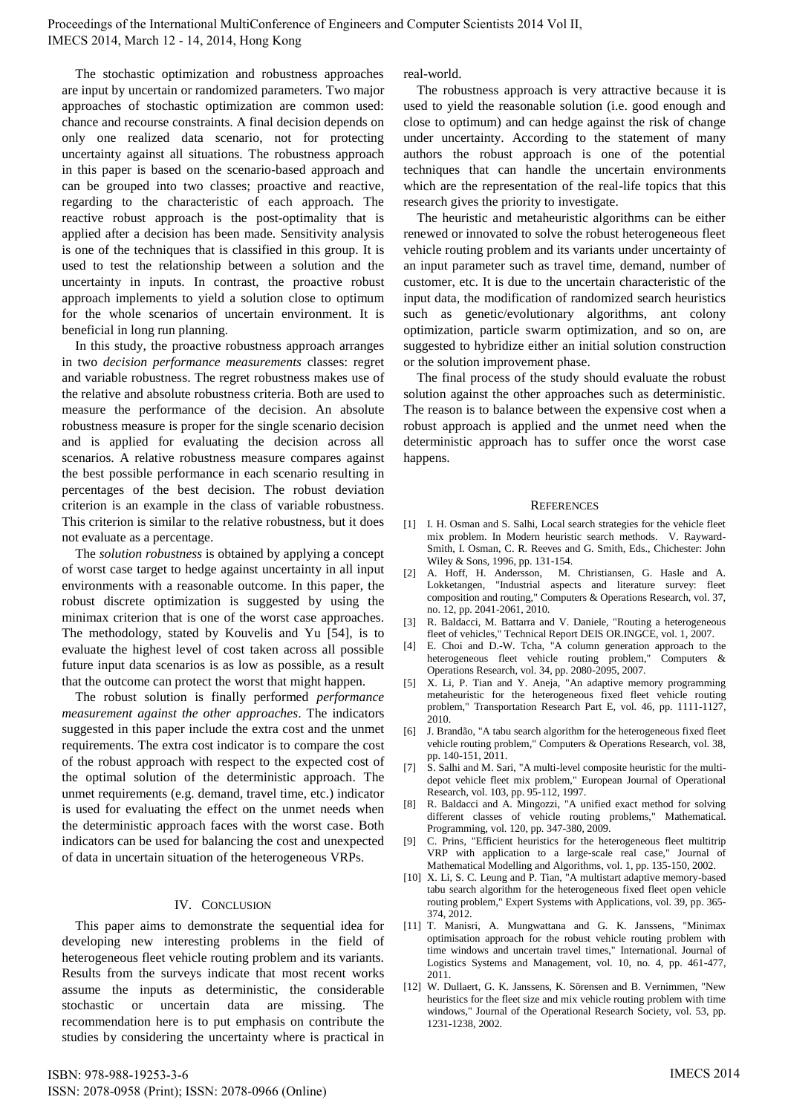Proceedings of the International MultiConference of Engineers and Computer Scientists 2014 Vol II, IMECS 2014, March 12 - 14, 2014, Hong Kong

The stochastic optimization and robustness approaches are input by uncertain or randomized parameters. Two major approaches of stochastic optimization are common used: chance and recourse constraints. A final decision depends on only one realized data scenario, not for protecting uncertainty against all situations. The robustness approach in this paper is based on the scenario-based approach and can be grouped into two classes; proactive and reactive, regarding to the characteristic of each approach. The reactive robust approach is the post-optimality that is applied after a decision has been made. Sensitivity analysis is one of the techniques that is classified in this group. It is used to test the relationship between a solution and the uncertainty in inputs. In contrast, the proactive robust approach implements to yield a solution close to optimum for the whole scenarios of uncertain environment. It is beneficial in long run planning.

In this study, the proactive robustness approach arranges in two *decision performance measurements* classes: regret and variable robustness. The regret robustness makes use of the relative and absolute robustness criteria. Both are used to measure the performance of the decision. An absolute robustness measure is proper for the single scenario decision and is applied for evaluating the decision across all scenarios. A relative robustness measure compares against the best possible performance in each scenario resulting in percentages of the best decision. The robust deviation criterion is an example in the class of variable robustness. This criterion is similar to the relative robustness, but it does not evaluate as a percentage.

The *solution robustness* is obtained by applying a concept of worst case target to hedge against uncertainty in all input environments with a reasonable outcome. In this paper, the robust discrete optimization is suggested by using the minimax criterion that is one of the worst case approaches. The methodology, stated by Kouvelis and Yu [54], is to evaluate the highest level of cost taken across all possible future input data scenarios is as low as possible, as a result that the outcome can protect the worst that might happen.

The robust solution is finally performed *performance measurement against the other approaches*. The indicators suggested in this paper include the extra cost and the unmet requirements. The extra cost indicator is to compare the cost of the robust approach with respect to the expected cost of the optimal solution of the deterministic approach. The unmet requirements (e.g. demand, travel time, etc.) indicator is used for evaluating the effect on the unmet needs when the deterministic approach faces with the worst case. Both indicators can be used for balancing the cost and unexpected of data in uncertain situation of the heterogeneous VRPs.

### IV. CONCLUSION

This paper aims to demonstrate the sequential idea for developing new interesting problems in the field of heterogeneous fleet vehicle routing problem and its variants. Results from the surveys indicate that most recent works assume the inputs as deterministic, the considerable stochastic or uncertain data are missing. The recommendation here is to put emphasis on contribute the studies by considering the uncertainty where is practical in real-world.

The robustness approach is very attractive because it is used to yield the reasonable solution (i.e. good enough and close to optimum) and can hedge against the risk of change under uncertainty. According to the statement of many authors the robust approach is one of the potential techniques that can handle the uncertain environments which are the representation of the real-life topics that this research gives the priority to investigate.

The heuristic and metaheuristic algorithms can be either renewed or innovated to solve the robust heterogeneous fleet vehicle routing problem and its variants under uncertainty of an input parameter such as travel time, demand, number of customer, etc. It is due to the uncertain characteristic of the input data, the modification of randomized search heuristics such as genetic/evolutionary algorithms, ant colony optimization, particle swarm optimization, and so on, are suggested to hybridize either an initial solution construction or the solution improvement phase.

The final process of the study should evaluate the robust solution against the other approaches such as deterministic. The reason is to balance between the expensive cost when a robust approach is applied and the unmet need when the deterministic approach has to suffer once the worst case happens.

#### **REFERENCES**

- [1] I. H. Osman and S. Salhi, Local search strategies for the vehicle fleet mix problem. In Modern heuristic search methods. V. Rayward-Smith, I. Osman, C. R. Reeves and G. Smith, Eds., Chichester: John Wiley & Sons, 1996, pp. 131-154.
- [2] A. Hoff, H. Andersson, M. Christiansen, G. Hasle and A. Lokketangen, "Industrial aspects and literature survey: fleet composition and routing," Computers & Operations Research, vol. 37, no. 12, pp. 2041-2061, 2010.
- [3] R. Baldacci, M. Battarra and V. Daniele, "Routing a heterogeneous fleet of vehicles," Technical Report DEIS OR.INGCE, vol. 1, 2007.
- [4] E. Choi and D.-W. Tcha, "A column generation approach to the heterogeneous fleet vehicle routing problem," Computers & Operations Research, vol. 34, pp. 2080-2095, 2007.
- [5] X. Li, P. Tian and Y. Aneja, "An adaptive memory programming metaheuristic for the heterogeneous fixed fleet vehicle routing problem," Transportation Research Part E, vol. 46, pp. 1111-1127, 2010.
- [6] J. Brandão, "A tabu search algorithm for the heterogeneous fixed fleet vehicle routing problem," Computers & Operations Research, vol. 38, pp. 140-151, 2011.
- [7] S. Salhi and M. Sari, "A multi-level composite heuristic for the multidepot vehicle fleet mix problem," European Journal of Operational Research, vol. 103, pp. 95-112, 1997.
- [8] R. Baldacci and A. Mingozzi, "A unified exact method for solving different classes of vehicle routing problems," Mathematical. Programming, vol. 120, pp. 347-380, 2009.
- [9] C. Prins, "Efficient heuristics for the heterogeneous fleet multitrip VRP with application to a large-scale real case," Journal of Mathematical Modelling and Algorithms, vol. 1, pp. 135-150, 2002.
- [10] X. Li, S. C. Leung and P. Tian, "A multistart adaptive memory-based tabu search algorithm for the heterogeneous fixed fleet open vehicle routing problem," Expert Systems with Applications, vol. 39, pp. 365- 374, 2012.
- [11] T. Manisri, A. Mungwattana and G. K. Janssens, "Minimax optimisation approach for the robust vehicle routing problem with time windows and uncertain travel times," International. Journal of Logistics Systems and Management, vol. 10, no. 4, pp. 461-477, 2011.
- [12] W. Dullaert, G. K. Janssens, K. Sörensen and B. Vernimmen, "New heuristics for the fleet size and mix vehicle routing problem with time windows," Journal of the Operational Research Society, vol. 53, pp. 1231-1238, 2002.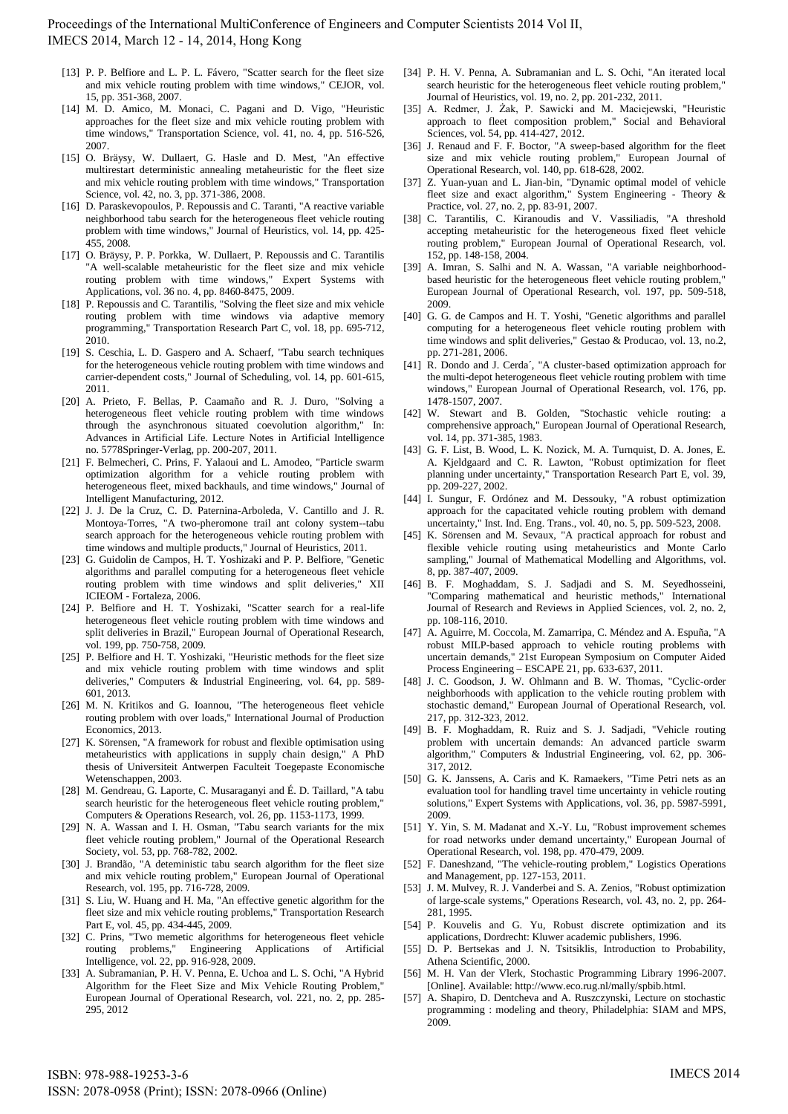Proceedings of the International MultiConference of Engineers and Computer Scientists 2014 Vol II, IMECS 2014, March 12 - 14, 2014, Hong Kong

- [13] P. P. Belfiore and L. P. L. Fávero, "Scatter search for the fleet size and mix vehicle routing problem with time windows," CEJOR, vol. 15, pp. 351-368, 2007.
- [14] M. D. Amico, M. Monaci, C. Pagani and D. Vigo, "Heuristic approaches for the fleet size and mix vehicle routing problem with time windows," Transportation Science, vol. 41, no. 4, pp. 516-526, 2007.
- [15] O. Bräysy, W. Dullaert, G. Hasle and D. Mest, "An effective multirestart deterministic annealing metaheuristic for the fleet size and mix vehicle routing problem with time windows," Transportation Science, vol. 42, no. 3, pp. 371-386, 2008.
- [16] D. Paraskevopoulos, P. Repoussis and C. Taranti, "A reactive variable neighborhood tabu search for the heterogeneous fleet vehicle routing problem with time windows," Journal of Heuristics, vol. 14, pp. 425- 455, 2008.
- [17] O. Bräysy, P. P. Porkka, W. Dullaert, P. Repoussis and C. Tarantilis "A well-scalable metaheuristic for the fleet size and mix vehicle routing problem with time windows," Expert Systems with Applications, vol. 36 no. 4, pp. 8460-8475, 2009.
- [18] P. Repoussis and C. Tarantilis, "Solving the fleet size and mix vehicle routing problem with time windows via adaptive memory programming," Transportation Research Part C, vol. 18, pp. 695-712, 2010.
- [19] S. Ceschia, L. D. Gaspero and A. Schaerf, "Tabu search techniques for the heterogeneous vehicle routing problem with time windows and carrier-dependent costs," Journal of Scheduling, vol. 14, pp. 601-615, 2011.
- [20] A. Prieto, F. Bellas, P. Caamaño and R. J. Duro, "Solving a heterogeneous fleet vehicle routing problem with time windows through the asynchronous situated coevolution algorithm," In: Advances in Artificial Life. Lecture Notes in Artificial Intelligence no. 5778Springer-Verlag, pp. 200-207, 2011.
- [21] F. Belmecheri, C. Prins, F. Yalaoui and L. Amodeo, "Particle swarm optimization algorithm for a vehicle routing problem with heterogeneous fleet, mixed backhauls, and time windows," Journal of Intelligent Manufacturing, 2012.
- [22] J. J. De la Cruz, C. D. Paternina-Arboleda, V. Cantillo and J. R. Montoya-Torres, "A two-pheromone trail ant colony system--tabu search approach for the heterogeneous vehicle routing problem with time windows and multiple products," Journal of Heuristics, 2011.
- [23] G. Guidolin de Campos, H. T. Yoshizaki and P. P. Belfiore, "Genetic algorithms and parallel computing for a heterogeneous fleet vehicle routing problem with time windows and split deliveries," XII ICIEOM - Fortaleza, 2006.
- [24] P. Belfiore and H. T. Yoshizaki, "Scatter search for a real-life heterogeneous fleet vehicle routing problem with time windows and split deliveries in Brazil," European Journal of Operational Research, vol. 199, pp. 750-758, 2009.
- [25] P. Belfiore and H. T. Yoshizaki, "Heuristic methods for the fleet size and mix vehicle routing problem with time windows and split deliveries," Computers & Industrial Engineering, vol. 64, pp. 589- 601, 2013.
- [26] M. N. Kritikos and G. Ioannou, "The heterogeneous fleet vehicle routing problem with over loads," International Journal of Production Economics, 2013.
- [27] K. Sörensen, "A framework for robust and flexible optimisation using metaheuristics with applications in supply chain design," A PhD thesis of Universiteit Antwerpen Faculteit Toegepaste Economische Wetenschappen, 2003.
- [28] M. Gendreau, G. Laporte, C. Musaraganyi and É. D. Taillard, "A tabu search heuristic for the heterogeneous fleet vehicle routing problem," Computers & Operations Research, vol. 26, pp. 1153-1173, 1999.
- [29] N. A. Wassan and I. H. Osman, "Tabu search variants for the mix fleet vehicle routing problem," Journal of the Operational Research Society, vol. 53, pp. 768-782, 2002.
- [30] J. Brandão, "A deteministic tabu search algorithm for the fleet size and mix vehicle routing problem," European Journal of Operational Research, vol. 195, pp. 716-728, 2009.
- [31] S. Liu, W. Huang and H. Ma, "An effective genetic algorithm for the fleet size and mix vehicle routing problems," Transportation Research Part E, vol. 45, pp. 434-445, 2009.
- [32] C. Prins, "Two memetic algorithms for heterogeneous fleet vehicle routing problems," Engineering Applications of Artificial Intelligence, vol. 22, pp. 916-928, 2009.
- [33] A. Subramanian, P. H. V. Penna, E. Uchoa and L. S. Ochi, "A Hybrid Algorithm for the Fleet Size and Mix Vehicle Routing Problem," European Journal of Operational Research, vol. 221, no. 2, pp. 285- 295, 2012
- [34] P. H. V. Penna, A. Subramanian and L. S. Ochi, "An iterated local search heuristic for the heterogeneous fleet vehicle routing problem," Journal of Heuristics, vol. 19, no. 2, pp. 201-232, 2011.
- [35] A. Redmer, J. Żak, P. Sawicki and M. Maciejewski, "Heuristic approach to fleet composition problem," Social and Behavioral Sciences, vol. 54, pp. 414-427, 2012.
- [36] J. Renaud and F. F. Boctor, "A sweep-based algorithm for the fleet size and mix vehicle routing problem," European Journal of Operational Research, vol. 140, pp. 618-628, 2002.
- [37] Z. Yuan-yuan and L. Jian-bin, "Dynamic optimal model of vehicle fleet size and exact algorithm," System Engineering - Theory & Practice, vol. 27, no. 2, pp. 83-91, 2007.
- [38] C. Tarantilis, C. Kiranoudis and V. Vassiliadis, "A threshold accepting metaheuristic for the heterogeneous fixed fleet vehicle routing problem," European Journal of Operational Research, vol. 152, pp. 148-158, 2004.
- [39] A. Imran, S. Salhi and N. A. Wassan, "A variable neighborhoodbased heuristic for the heterogeneous fleet vehicle routing problem," European Journal of Operational Research, vol. 197, pp. 509-518, 2009.
- [40] G. G. de Campos and H. T. Yoshi, "Genetic algorithms and parallel computing for a heterogeneous fleet vehicle routing problem with time windows and split deliveries," Gestao & Producao, vol. 13, no.2, pp. 271-281, 2006.
- [41] R. Dondo and J. Cerda´, "A cluster-based optimization approach for the multi-depot heterogeneous fleet vehicle routing problem with time windows," European Journal of Operational Research, vol. 176, pp. 1478-1507, 2007.
- [42] W. Stewart and B. Golden, "Stochastic vehicle routing: a comprehensive approach," European Journal of Operational Research, vol. 14, pp. 371-385, 1983.
- [43] G. F. List, B. Wood, L. K. Nozick, M. A. Turnquist, D. A. Jones, E. A. Kjeldgaard and C. R. Lawton, "Robust optimization for fleet planning under uncertainty," Transportation Research Part E, vol. 39, pp. 209-227, 2002.
- [44] I. Sungur, F. Ordónez and M. Dessouky, "A robust optimization approach for the capacitated vehicle routing problem with demand uncertainty," Inst. Ind. Eng. Trans., vol. 40, no. 5, pp. 509-523, 2008.
- [45] K. Sörensen and M. Sevaux, "A practical approach for robust and flexible vehicle routing using metaheuristics and Monte Carlo sampling," Journal of Mathematical Modelling and Algorithms, vol. 8, pp. 387-407, 2009.
- [46] B. F. Moghaddam, S. J. Sadjadi and S. M. Seyedhosseini, "Comparing mathematical and heuristic methods," International Journal of Research and Reviews in Applied Sciences, vol. 2, no. 2, pp. 108-116, 2010.
- [47] A. Aguirre, M. Coccola, M. Zamarripa, C. Méndez and A. Espuña, "A robust MILP-based approach to vehicle routing problems with uncertain demands," 21st European Symposium on Computer Aided Process Engineering – ESCAPE 21, pp. 633-637, 2011.
- [48] J. C. Goodson, J. W. Ohlmann and B. W. Thomas, "Cyclic-order neighborhoods with application to the vehicle routing problem with stochastic demand," European Journal of Operational Research, vol. 217, pp. 312-323, 2012.
- [49] B. F. Moghaddam, R. Ruiz and S. J. Sadjadi, "Vehicle routing problem with uncertain demands: An advanced particle swarm algorithm," Computers & Industrial Engineering, vol. 62, pp. 306- 317, 2012.
- [50] G. K. Janssens, A. Caris and K. Ramaekers, "Time Petri nets as an evaluation tool for handling travel time uncertainty in vehicle routing solutions," Expert Systems with Applications, vol. 36, pp. 5987-5991, 2009.
- [51] Y. Yin, S. M. Madanat and X.-Y. Lu, "Robust improvement schemes for road networks under demand uncertainty," European Journal of Operational Research, vol. 198, pp. 470-479, 2009.
- [52] F. Daneshzand, "The vehicle-routing problem," Logistics Operations and Management, pp. 127-153, 2011.
- [53] J. M. Mulvey, R. J. Vanderbei and S. A. Zenios, "Robust optimization of large-scale systems," Operations Research, vol. 43, no. 2, pp. 264- 281, 1995.
- [54] P. Kouvelis and G. Yu, Robust discrete optimization and its applications, Dordrecht: Kluwer academic publishers, 1996.
- [55] D. P. Bertsekas and J. N. Tsitsiklis, Introduction to Probability, Athena Scientific, 2000.
- [56] M. H. Van der Vlerk, Stochastic Programming Library 1996-2007. [Online]. Available: http://www.eco.rug.nl/mally/spbib.html.
- [57] A. Shapiro, D. Dentcheva and A. Ruszczynski, Lecture on stochastic programming : modeling and theory, Philadelphia: SIAM and MPS, 2009.